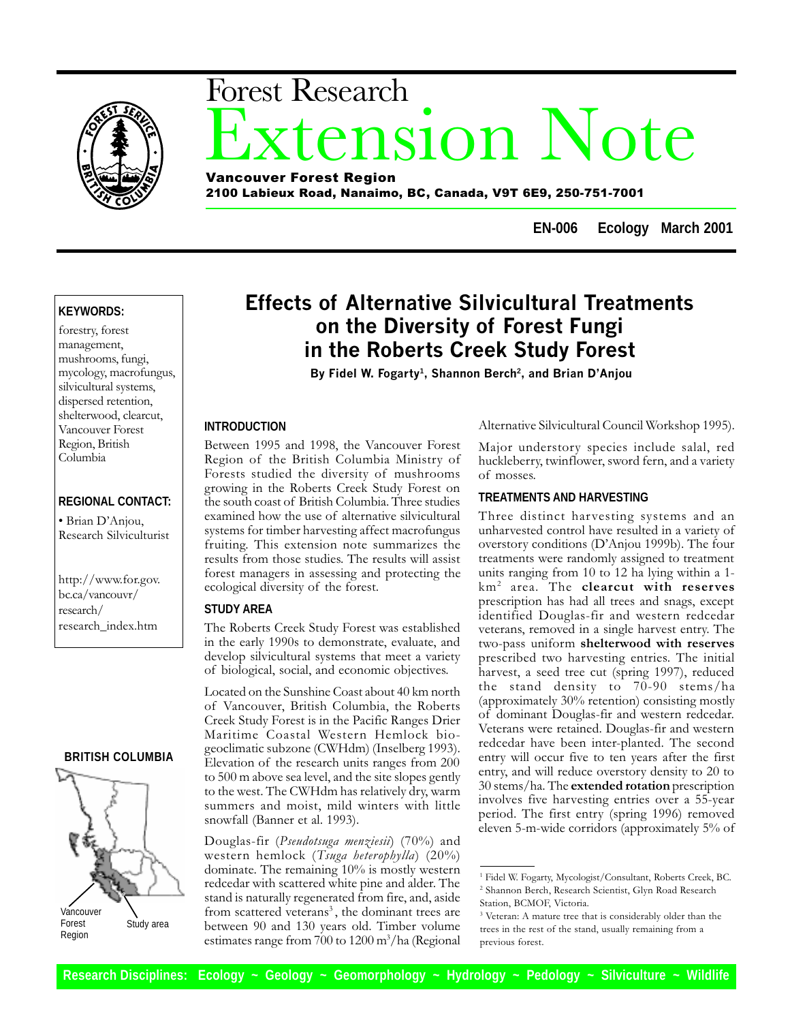

# xtension Note Forest Research Vancouver Forest Region

2100 Labieux Road, Nanaimo, BC, Canada, V9T 6E9, 250-751-7001

**EN-006 Ecology March 2001**

# **KEYWORDS:**

forestry, forest management, mushrooms, fungi, mycology, macrofungus, silvicultural systems, dispersed retention, shelterwood, clearcut, Vancouver Forest Region, British Columbia

# **REGIONAL CONTACT:**

· Brian D'Anjou, Research Silviculturist

http://www.for.gov. bc.ca/vancouvr/ research/ research\_index.htm

# **BRITISH COLUMBIA**



Forest Region Study area

# Effects of Alternative Silvicultural Treatments on the Diversity of Forest Fungi in the Roberts Creek Study Forest

By Fidel W. Fogarty<sup>1</sup>, Shannon Berch<sup>2</sup>, and Brian D'Anjou

#### **INTRODUCTION**

Between 1995 and 1998, the Vancouver Forest Region of the British Columbia Ministry of Forests studied the diversity of mushrooms growing in the Roberts Creek Study Forest on the south coast of British Columbia. Three studies examined how the use of alternative silvicultural systems for timber harvesting affect macrofungus fruiting. This extension note summarizes the results from those studies. The results will assist forest managers in assessing and protecting the ecological diversity of the forest.

#### **STUDY AREA**

The Roberts Creek Study Forest was established in the early 1990s to demonstrate, evaluate, and develop silvicultural systems that meet a variety of biological, social, and economic objectives.

Located on the Sunshine Coast about 40 km north of Vancouver, British Columbia, the Roberts Creek Study Forest is in the Pacific Ranges Drier Maritime Coastal Western Hemlock biogeoclimatic subzone (CWHdm) (Inselberg 1993). Elevation of the research units ranges from 200 to 500 m above sea level, and the site slopes gently to the west. The CWHdm has relatively dry, warm summers and moist, mild winters with little snowfall (Banner et al. 1993).

Douglas-fir (Pseudotsuga menziesii) (70%) and western hemlock (Tsuga heterophylla) (20%) dominate. The remaining 10% is mostly western redcedar with scattered white pine and alder. The stand is naturally regenerated from fire, and, aside from scattered veterans<sup>3</sup>, the dominant trees are between 90 and 130 years old. Timber volume estimates range from 700 to 1200 m<sup>3</sup>/ha (Regional

Alternative Silvicultural Council Workshop 1995).

Major understory species include salal, red huckleberry, twinflower, sword fern, and a variety of mosses.

# **TREATMENTS AND HARVESTING**

Three distinct harvesting systems and an unharvested control have resulted in a variety of overstory conditions (D'Anjou 1999b). The four treatments were randomly assigned to treatment units ranging from 10 to 12 ha lying within a 1 km2 area. The clearcut with reserves prescription has had all trees and snags, except identified Douglas-fir and western redcedar veterans, removed in a single harvest entry. The two-pass uniform shelterwood with reserves prescribed two harvesting entries. The initial harvest, a seed tree cut (spring 1997), reduced the stand density to 70-90 stems/ha (approximately 30% retention) consisting mostly of dominant Douglas-fir and western redcedar. Veterans were retained. Douglas-fir and western redcedar have been inter-planted. The second entry will occur five to ten years after the first entry, and will reduce overstory density to 20 to 30 stems/ha. The extended rotation prescription involves five harvesting entries over a 55-year period. The first entry (spring 1996) removed eleven 5-m-wide corridors (approximately 5% of

<sup>&</sup>lt;sup>1</sup> Fidel W. Fogarty, Mycologist/Consultant, Roberts Creek, BC. 2 Shannon Berch, Research Scientist, Glyn Road Research Station, BCMOF, Victoria.

<sup>&</sup>lt;sup>3</sup> Veteran: A mature tree that is considerably older than the trees in the rest of the stand, usually remaining from a previous forest.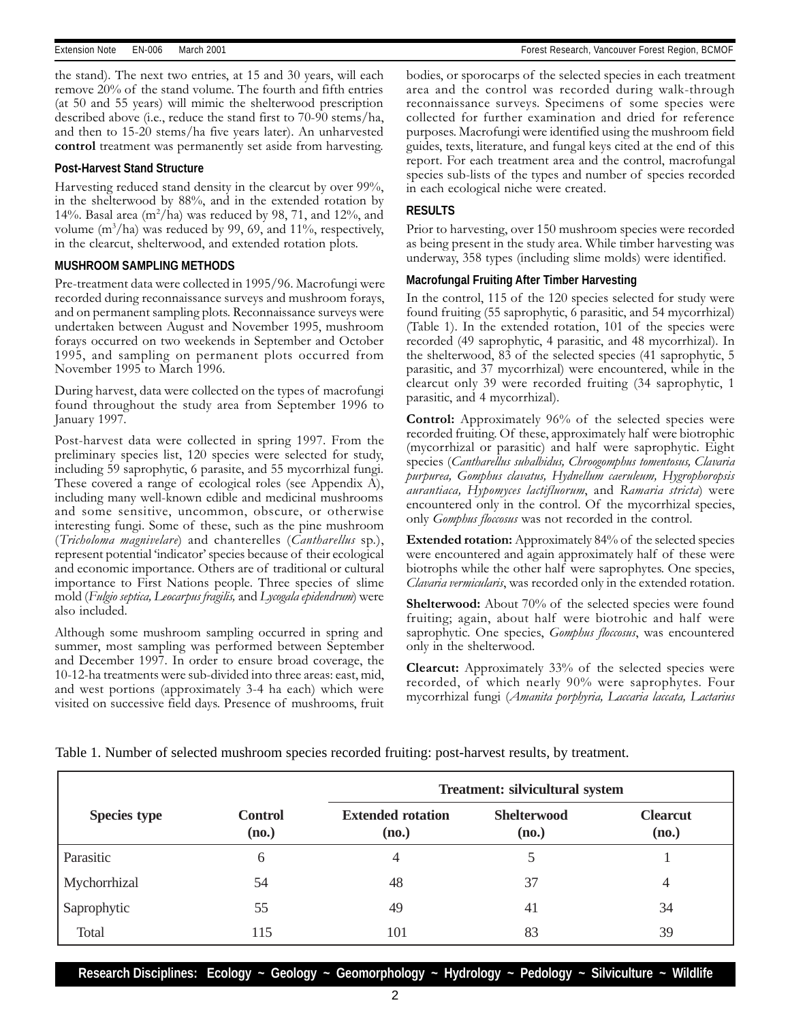the stand). The next two entries, at 15 and 30 years, will each remove 20% of the stand volume. The fourth and fifth entries (at 50 and 55 years) will mimic the shelterwood prescription described above (i.e., reduce the stand first to 70-90 stems/ha, and then to 15-20 stems/ha five years later). An unharvested control treatment was permanently set aside from harvesting.

#### **Post-Harvest Stand Structure**

Harvesting reduced stand density in the clearcut by over 99%, in the shelterwood by 88%, and in the extended rotation by 14%. Basal area (m<sup>2</sup>/ha) was reduced by 98, 71, and 12%, and volume  $(m^3/ha)$  was reduced by 99, 69, and 11%, respectively, in the clearcut, shelterwood, and extended rotation plots.

#### **MUSHROOM SAMPLING METHODS**

Pre-treatment data were collected in 1995/96. Macrofungi were recorded during reconnaissance surveys and mushroom forays, and on permanent sampling plots. Reconnaissance surveys were undertaken between August and November 1995, mushroom forays occurred on two weekends in September and October 1995, and sampling on permanent plots occurred from November 1995 to March 1996.

During harvest, data were collected on the types of macrofungi found throughout the study area from September 1996 to January 1997.

Post-harvest data were collected in spring 1997. From the preliminary species list, 120 species were selected for study, including 59 saprophytic, 6 parasite, and 55 mycorrhizal fungi. These covered a range of ecological roles (see Appendix A), including many well-known edible and medicinal mushrooms and some sensitive, uncommon, obscure, or otherwise interesting fungi. Some of these, such as the pine mushroom (Tricholoma magnivelare) and chanterelles (Cantharellus sp.), represent potential 'indicator' species because of their ecological and economic importance. Others are of traditional or cultural importance to First Nations people. Three species of slime mold (Fulgio septica, Leocarpus fragilis, and Lycogala epidendrum) were also included.

Although some mushroom sampling occurred in spring and summer, most sampling was performed between September and December 1997. In order to ensure broad coverage, the 10-12-ha treatments were sub-divided into three areas: east, mid, and west portions (approximately 3-4 ha each) which were visited on successive field days. Presence of mushrooms, fruit bodies, or sporocarps of the selected species in each treatment area and the control was recorded during walk-through reconnaissance surveys. Specimens of some species were collected for further examination and dried for reference purposes. Macrofungi were identified using the mushroom field guides, texts, literature, and fungal keys cited at the end of this report. For each treatment area and the control, macrofungal species sub-lists of the types and number of species recorded in each ecological niche were created.

#### **RESULTS**

Prior to harvesting, over 150 mushroom species were recorded as being present in the study area. While timber harvesting was underway, 358 types (including slime molds) were identified.

#### **Macrofungal Fruiting After Timber Harvesting**

In the control, 115 of the 120 species selected for study were found fruiting (55 saprophytic, 6 parasitic, and 54 mycorrhizal) (Table 1). In the extended rotation, 101 of the species were recorded (49 saprophytic, 4 parasitic, and 48 mycorrhizal). In the shelterwood, 83 of the selected species (41 saprophytic, 5 parasitic, and 37 mycorrhizal) were encountered, while in the clearcut only 39 were recorded fruiting (34 saprophytic, 1 parasitic, and 4 mycorrhizal).

Control: Approximately 96% of the selected species were recorded fruiting. Of these, approximately half were biotrophic (mycorrhizal or parasitic) and half were saprophytic. Eight species (Cantharellus subalbidus, Chroogomphus tomentosus, Clavaria purpurea, Gomphus clavatus, Hydnellum caeruleum, Hygrophoropsis aurantiaca, Hypomyces lactifluorum, and Ramaria stricta) were encountered only in the control. Of the mycorrhizal species, only *Gomphus floccosus* was not recorded in the control.

Extended rotation: Approximately 84% of the selected species were encountered and again approximately half of these were biotrophs while the other half were saprophytes. One species, Clavaria vermicularis, was recorded only in the extended rotation.

Shelterwood: About 70% of the selected species were found fruiting; again, about half were biotrohic and half were saprophytic. One species, *Gomphus floccosus*, was encountered only in the shelterwood.

Clearcut: Approximately 33% of the selected species were recorded, of which nearly 90% were saprophytes. Four mycorrhizal fungi (Amanita porphyria, Laccaria laccata, Lactarius

Table 1. Number of selected mushroom species recorded fruiting: post-harvest results, by treatment.

|                     |                         | Treatment: silvicultural system   |                             |                          |  |  |
|---------------------|-------------------------|-----------------------------------|-----------------------------|--------------------------|--|--|
| <b>Species type</b> | <b>Control</b><br>(no.) | <b>Extended rotation</b><br>(no.) | <b>Shelterwood</b><br>(no.) | <b>Clearcut</b><br>(no.) |  |  |
| Parasitic           | 6                       | 4                                 |                             |                          |  |  |
| Mychorrhizal        | 54                      | 48                                | 37                          | 4                        |  |  |
| Saprophytic         | 55                      | 49                                | 41                          | 34                       |  |  |
| Total               | 115                     | 101                               | 83                          | 39                       |  |  |

**Research Disciplines: Ecology ~ Geology ~ Geomorphology ~ Hydrology ~ Pedology ~ Silviculture ~ Wildlife**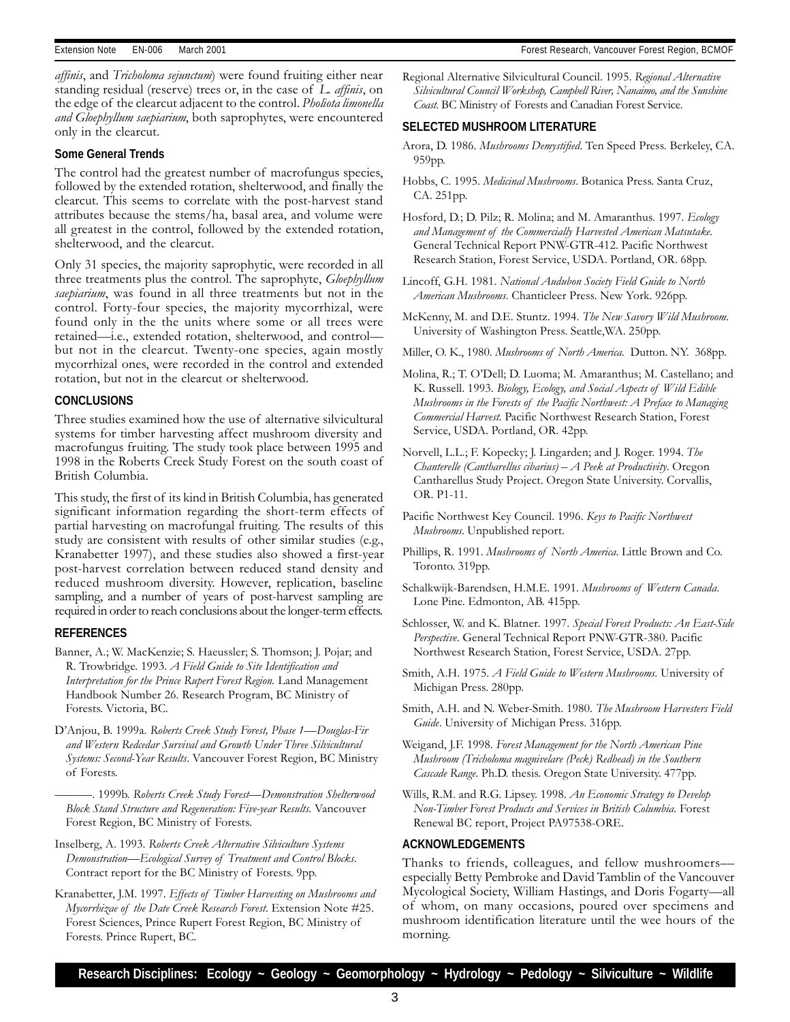affinis, and Tricholoma sejunctum) were found fruiting either near standing residual (reserve) trees or, in the case of L. affinis, on the edge of the clearcut adjacent to the control. Pholiota limonella and Gloephyllum saepiarium, both saprophytes, were encountered only in the clearcut.

#### **Some General Trends**

The control had the greatest number of macrofungus species, followed by the extended rotation, shelterwood, and finally the clearcut. This seems to correlate with the post-harvest stand attributes because the stems/ha, basal area, and volume were all greatest in the control, followed by the extended rotation, shelterwood, and the clearcut.

Only 31 species, the majority saprophytic, were recorded in all three treatments plus the control. The saprophyte, *Gloephyllum* saepiarium, was found in all three treatments but not in the control. Forty-four species, the majority mycorrhizal, were found only in the the units where some or all trees were retained—i.e., extended rotation, shelterwood, and control but not in the clearcut. Twenty-one species, again mostly mycorrhizal ones, were recorded in the control and extended rotation, but not in the clearcut or shelterwood.

#### **CONCLUSIONS**

Three studies examined how the use of alternative silvicultural systems for timber harvesting affect mushroom diversity and macrofungus fruiting. The study took place between 1995 and 1998 in the Roberts Creek Study Forest on the south coast of British Columbia.

This study, the first of its kind in British Columbia, has generated significant information regarding the short-term effects of partial harvesting on macrofungal fruiting. The results of this study are consistent with results of other similar studies (e.g., Kranabetter 1997), and these studies also showed a first-year post-harvest correlation between reduced stand density and reduced mushroom diversity. However, replication, baseline sampling, and a number of years of post-harvest sampling are required in order to reach conclusions about the longer-term effects.

#### **REFERENCES**

- Banner, A.; W. MacKenzie; S. Haeussler; S. Thomson; J. Pojar; and R. Trowbridge. 1993. A Field Guide to Site Identification and Interpretation for the Prince Rupert Forest Region. Land Management Handbook Number 26. Research Program, BC Ministry of Forests. Victoria, BC.
- D'Anjou, B. 1999a. Roberts Creek Study Forest, Phase 1-Douglas-Fir and Western Redcedar Survival and Growth Under Three Silvicultural Systems: Second-Year Results. Vancouver Forest Region, BC Ministry of Forests.

-. 1999b. Roberts Creek Study Forest—Demonstration Shelterwood Block Stand Structure and Regeneration: Five-year Results. Vancouver Forest Region, BC Ministry of Forests.

Inselberg, A. 1993. Roberts Creek Alternative Silviculture Systems Demonstration—Ecological Survey of Treatment and Control Blocks. Contract report for the BC Ministry of Forests. 9pp.

Kranabetter, J.M. 1997. Effects of Timber Harvesting on Mushrooms and Mycorrhizae of the Date Creek Research Forest. Extension Note #25. Forest Sciences, Prince Rupert Forest Region, BC Ministry of Forests. Prince Rupert, BC.

Regional Alternative Silvicultural Council. 1995. Regional Alternative Silvicultural Council Workshop, Campbell River, Nanaimo, and the Sunshine Coast. BC Ministry of Forests and Canadian Forest Service.

#### **SELECTED MUSHROOM LITERATURE**

- Arora, D. 1986. Mushrooms Demystified. Ten Speed Press. Berkeley, CA. 959pp.
- Hobbs, C. 1995. Medicinal Mushrooms. Botanica Press. Santa Cruz, CA. 251pp.
- Hosford, D.; D. Pilz; R. Molina; and M. Amaranthus. 1997. Ecology and Management of the Commercially Harvested American Matsutake. General Technical Report PNW-GTR-412. Pacific Northwest Research Station, Forest Service, USDA. Portland, OR. 68pp.
- Lincoff, G.H. 1981. National Audubon Society Field Guide to North American Mushrooms. Chanticleer Press. New York. 926pp.
- McKenny, M. and D.E. Stuntz. 1994. The New Savory Wild Mushroom. University of Washington Press. Seattle,WA. 250pp.
- Miller, O. K., 1980. Mushrooms of North America. Dutton. NY. 368pp.
- Molina, R.; T. O'Dell; D. Luoma; M. Amaranthus; M. Castellano; and K. Russell. 1993. Biology, Ecology, and Social Aspects of Wild Edible Mushrooms in the Forests of the Pacific Northwest: A Preface to Managing Commercial Harvest. Pacific Northwest Research Station, Forest Service, USDA. Portland, OR. 42pp.
- Norvell, L.L.; F. Kopecky; J. Lingarden; and J. Roger. 1994. The Chanterelle (Cantharellus cibarius)  $-A$  Peek at Productivity. Oregon Cantharellus Study Project. Oregon State University. Corvallis, OR. P1-11.
- Pacific Northwest Key Council. 1996. Keys to Pacific Northwest Mushrooms. Unpublished report.
- Phillips, R. 1991. Mushrooms of North America. Little Brown and Co. Toronto. 319pp.
- Schalkwijk-Barendsen, H.M.E. 1991. Mushrooms of Western Canada. Lone Pine. Edmonton, AB. 415pp.
- Schlosser, W. and K. Blatner. 1997. Special Forest Products: An East-Side Perspective. General Technical Report PNW-GTR-380. Pacific Northwest Research Station, Forest Service, USDA. 27pp.
- Smith, A.H. 1975. A Field Guide to Western Mushrooms. University of Michigan Press. 280pp.
- Smith, A.H. and N. Weber-Smith. 1980. The Mushroom Harvesters Field Guide. University of Michigan Press. 316pp.
- Weigand, J.F. 1998. Forest Management for the North American Pine Mushroom (Tricholoma magnivelare (Peck) Redhead) in the Southern Cascade Range. Ph.D. thesis. Oregon State University. 477pp.
- Wills, R.M. and R.G. Lipsey. 1998. An Economic Strategy to Develop Non-Timber Forest Products and Services in British Columbia. Forest Renewal BC report, Project PA97538-ORE.

#### **ACKNOWLEDGEMENTS**

Thanks to friends, colleagues, and fellow mushroomers especially Betty Pembroke and David Tamblin of the Vancouver Mycological Society, William Hastings, and Doris Fogarty-all of whom, on many occasions, poured over specimens and mushroom identification literature until the wee hours of the morning.

**Research Disciplines: Ecology ~ Geology ~ Geomorphology ~ Hydrology ~ Pedology ~ Silviculture ~ Wildlife**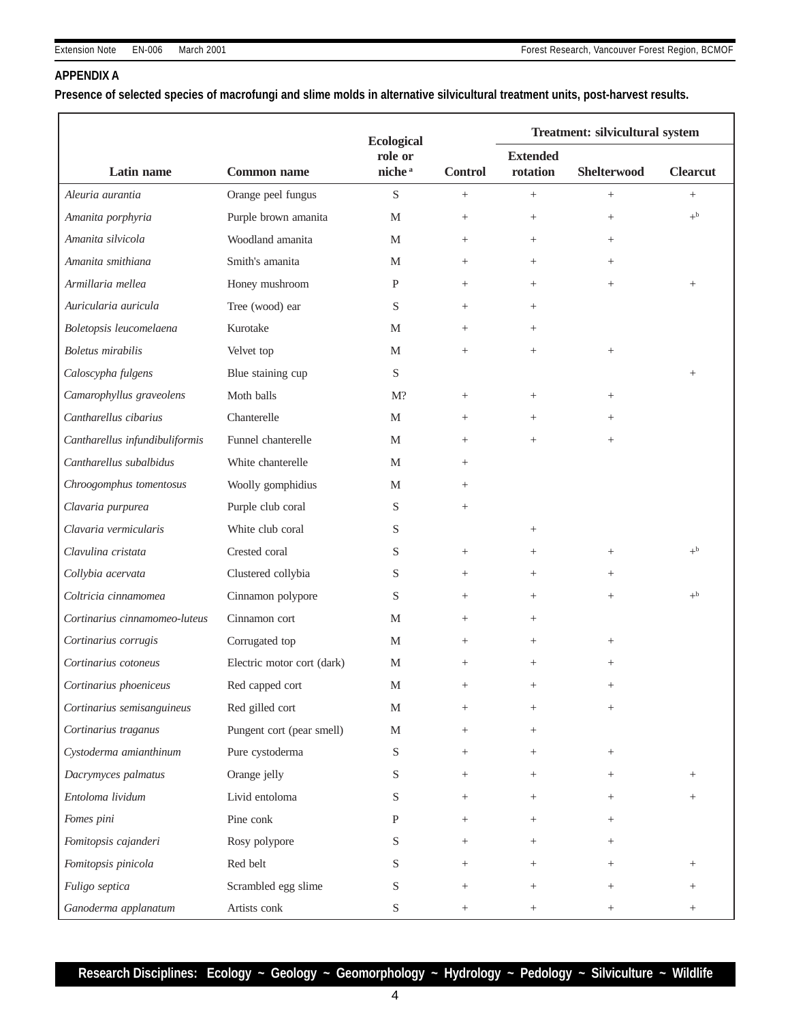#### **APPENDIX A**

**Presence of selected species of macrofungi and slime molds in alternative silvicultural treatment units, post-harvest results.**

|                                |                            | <b>Ecological</b>             |                | Treatment: silvicultural system |                    |                 |
|--------------------------------|----------------------------|-------------------------------|----------------|---------------------------------|--------------------|-----------------|
| Latin name                     | <b>Common name</b>         | role or<br>niche <sup>a</sup> | <b>Control</b> | <b>Extended</b><br>rotation     | <b>Shelterwood</b> | <b>Clearcut</b> |
| Aleuria aurantia               | Orange peel fungus         | $\mathbf S$                   | $^{+}$         | $\! +$                          | $\! + \!\!\!\!$    | $\! + \!\!\!\!$ |
| Amanita porphyria              | Purple brown amanita       | M                             | $^{+}$         | $^{+}$                          | $^{+}$             | $+^{\rm b}$     |
| Amanita silvicola              | Woodland amanita           | M                             | $^{+}$         | $^{+}$                          | $\! + \!\!\!\!$    |                 |
| Amanita smithiana              | Smith's amanita            | M                             | $^{+}$         | $^{+}$                          | $^{+}$             |                 |
| Armillaria mellea              | Honey mushroom             | P                             | $^{+}$         | $^{+}$                          | $\! + \!\!\!\!$    | $\! + \!\!\!\!$ |
| Auricularia auricula           | Tree (wood) ear            | S                             | $^{+}$         | $^{+}$                          |                    |                 |
| Boletopsis leucomelaena        | Kurotake                   | M                             | $^{+}$         | $^{+}$                          |                    |                 |
| <b>Boletus</b> mirabilis       | Velvet top                 | M                             | $^{+}$         | $^{+}$                          | $\! + \!\!\!\!$    |                 |
| Caloscypha fulgens             | Blue staining cup          | S                             |                |                                 |                    | $\! + \!\!\!\!$ |
| Camarophyllus graveolens       | Moth balls                 | $M$ ?                         | $^{+}$         | $\! + \!\!\!\!$                 | $^{+}$             |                 |
| Cantharellus cibarius          | Chanterelle                | M                             | $^{+}$         | $+$                             | $^{+}$             |                 |
| Cantharellus infundibuliformis | Funnel chanterelle         | M                             | $^{+}$         | $\! + \!\!\!\!$                 | $\! + \!\!\!\!$    |                 |
| Cantharellus subalbidus        | White chanterelle          | M                             | $^{+}$         |                                 |                    |                 |
| Chroogomphus tomentosus        | Woolly gomphidius          | M                             | $^{+}$         |                                 |                    |                 |
| Clavaria purpurea              | Purple club coral          | S                             | $^{+}$         |                                 |                    |                 |
| Clavaria vermicularis          | White club coral           | S                             |                | $+$                             |                    |                 |
| Clavulina cristata             | Crested coral              | S                             | $^{+}$         | $^{+}$                          | $^{+}$             | $+^{\rm b}$     |
| Collybia acervata              | Clustered collybia         | S                             | $^{+}$         | $^{+}$                          | $^{+}$             |                 |
| Coltricia cinnamomea           | Cinnamon polypore          | S                             | $^{+}$         | $\! + \!\!\!\!$                 | $\! + \!\!\!\!$    | $+^{\rm b}$     |
| Cortinarius cinnamomeo-luteus  | Cinnamon cort              | M                             | $^{+}$         | $^{+}$                          |                    |                 |
| Cortinarius corrugis           | Corrugated top             | M                             | $^{+}$         | $^{+}$                          | $^{+}$             |                 |
| Cortinarius cotoneus           | Electric motor cort (dark) | M                             | $^{+}$         | $^{+}$                          | $^{+}$             |                 |
| Cortinarius phoeniceus         | Red capped cort            | M                             | $^{+}$         | $^{+}$                          | $^{+}$             |                 |
| Cortinarius semisanguineus     | Red gilled cort            | $\mathbf M$                   | $^{+}$         | $\! + \!\!\!\!$                 | $\! + \!\!\!\!$    |                 |
| Cortinarius traganus           | Pungent cort (pear smell)  | M                             | $^{+}$         | $^{+}$                          |                    |                 |
| Cystoderma amianthinum         | Pure cystoderma            | S                             | $^{+}$         | $^{+}$                          | $^{+}$             |                 |
| Dacrymyces palmatus            | Orange jelly               | S                             | $^{+}$         | $^{+}$                          | $^{+}$             | $^{+}$          |
| Entoloma lividum               | Livid entoloma             | S                             | $^{+}$         | $^{+}$                          | $^{+}$             | $^{+}$          |
| Fomes pini                     | Pine conk                  | P                             |                | $^{+}$                          | $^{+}$             |                 |
| Fomitopsis cajanderi           | Rosy polypore              | S                             | $^{+}$         | $^{+}$                          | $^{+}$             |                 |
| Fomitopsis pinicola            | Red belt                   | S                             | $^{+}$         | $^{+}$                          | $^{+}$             | $^+$            |
| Fuligo septica                 | Scrambled egg slime        | S                             |                | $\! + \!\!\!\!$                 | $^{+}$             | $^+$            |
| Ganoderma applanatum           | Artists conk               | ${\mathcal S}$                | $^{+}$         | $\! + \!\!\!\!$                 | $^{+}$             | $^{+}$          |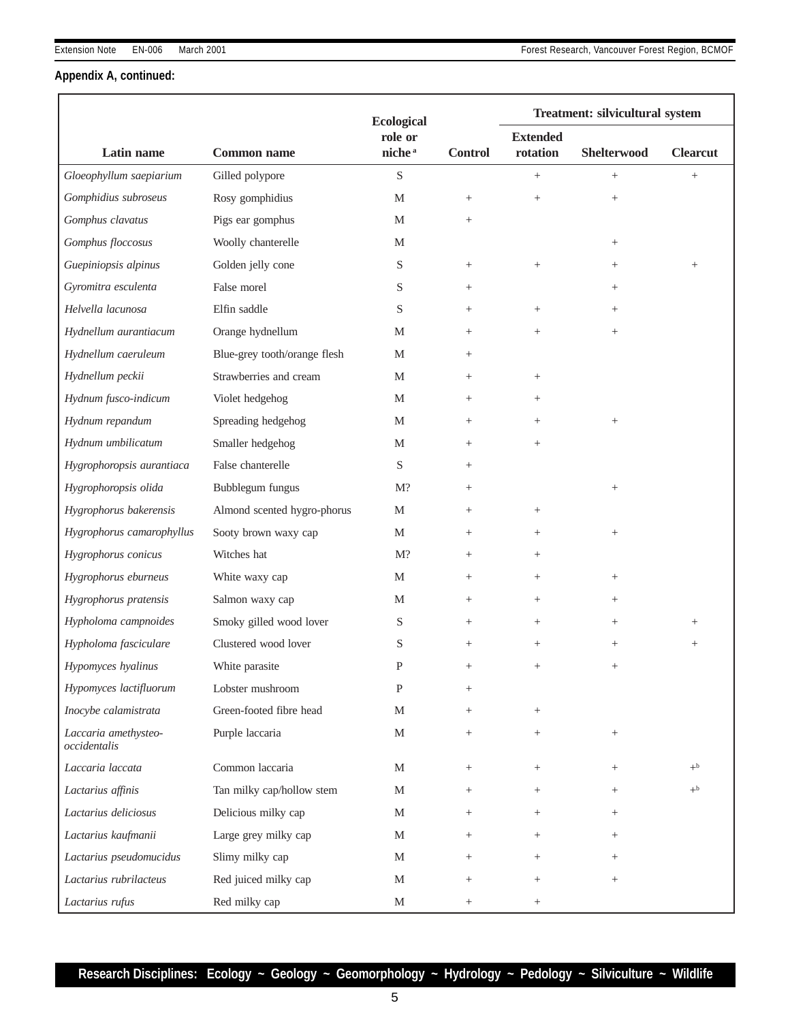# **Appendix A, continued:**

|                                      |                              |                              |                 | Treatment: silvicultural system |                 |                 |
|--------------------------------------|------------------------------|------------------------------|-----------------|---------------------------------|-----------------|-----------------|
|                                      |                              | <b>Ecological</b><br>role or |                 | <b>Extended</b>                 |                 |                 |
| Latin name                           | <b>Common name</b>           | niche <sup>a</sup>           | <b>Control</b>  | rotation                        | Shelterwood     | <b>Clearcut</b> |
| Gloeophyllum saepiarium              | Gilled polypore              | S                            |                 | $^{+}$                          | $\! + \!\!\!\!$ | $\! + \!\!\!\!$ |
| Gomphidius subroseus                 | Rosy gomphidius              | M                            | $\! + \!\!\!\!$ | $\! + \!\!\!\!$                 | $^{+}$          |                 |
| Gomphus clavatus                     | Pigs ear gomphus             | M                            | $^{+}$          |                                 |                 |                 |
| Gomphus floccosus                    | Woolly chanterelle           | M                            |                 |                                 | $^{+}$          |                 |
| Guepiniopsis alpinus                 | Golden jelly cone            | S                            | $\! + \!\!\!\!$ | $\! + \!\!\!\!$                 | $^{+}$          | $\! + \!\!\!\!$ |
| Gyromitra esculenta                  | False morel                  | S                            | $^{+}$          |                                 | $^{+}$          |                 |
| Helvella lacunosa                    | Elfin saddle                 | S                            | $^{+}$          | $^{+}$                          | $^{+}$          |                 |
| Hydnellum aurantiacum                | Orange hydnellum             | M                            | $^{+}$          | $^{+}$                          | $^{+}$          |                 |
| Hydnellum caeruleum                  | Blue-grey tooth/orange flesh | M                            | $^{+}$          |                                 |                 |                 |
| Hydnellum peckii                     | Strawberries and cream       | M                            | $^{+}$          | $^{+}$                          |                 |                 |
| Hydnum fusco-indicum                 | Violet hedgehog              | M                            | $^{+}$          | $^{+}$                          |                 |                 |
| Hydnum repandum                      | Spreading hedgehog           | M                            | $^{+}$          | $^{+}$                          | $^{+}$          |                 |
| Hydnum umbilicatum                   | Smaller hedgehog             | M                            | $^{+}$          | $+$                             |                 |                 |
| Hygrophoropsis aurantiaca            | False chanterelle            | S                            | $^{+}$          |                                 |                 |                 |
| Hygrophoropsis olida                 | Bubblegum fungus             | $M$ ?                        | $^{+}$          |                                 | $\! + \!\!\!\!$ |                 |
| Hygrophorus bakerensis               | Almond scented hygro-phorus  | M                            | $^{+}$          | $\! + \!\!\!\!$                 |                 |                 |
| Hygrophorus camarophyllus            | Sooty brown waxy cap         | M                            | $^{+}$          | $^{+}$                          | $^{+}$          |                 |
| Hygrophorus conicus                  | Witches hat                  | $M$ ?                        | $^{+}$          | $^{+}$                          |                 |                 |
| Hygrophorus eburneus                 | White waxy cap               | M                            | $^{+}$          | $^{+}$                          | $^{+}$          |                 |
| Hygrophorus pratensis                | Salmon waxy cap              | M                            | $^{+}$          | $+$                             | $^{+}$          |                 |
| Hypholoma campnoides                 | Smoky gilled wood lover      | S                            | $^{+}$          | $^{+}$                          | $^{+}$          | $^{+}$          |
| Hypholoma fasciculare                | Clustered wood lover         | S                            | $+$             | $^{+}$                          | $^{+}$          | $^{+}$          |
| Hypomyces hyalinus                   | White parasite               | P                            | $^{+}$          | $^{+}$                          | $^{+}$          |                 |
| Hypomyces lactifluorum               | Lobster mushroom             | P                            | $^{+}$          |                                 |                 |                 |
| Inocybe calamistrata                 | Green-footed fibre head      | M                            | $^{+}$          | $\! + \!\!\!\!$                 |                 |                 |
| Laccaria amethysteo-<br>occidentalis | Purple laccaria              | М                            | $^{+}$          | $^{+}$                          | $^{+}$          |                 |
| Laccaria laccata                     | Common laccaria              | M                            | $^{+}$          | $^{+}$                          | $+$             | $+^{\rm b}$     |
| Lactarius affinis                    | Tan milky cap/hollow stem    | M                            | $^{+}$          | $^{+}$                          | $^{+}$          | $+^b$           |
| Lactarius deliciosus                 | Delicious milky cap          | М                            | $^{+}$          | $^{+}$                          | $^{+}$          |                 |
| Lactarius kaufmanii                  | Large grey milky cap         | M                            | $^{+}$          | $^{+}$                          | $^{+}$          |                 |
| Lactarius pseudomucidus              | Slimy milky cap              | M                            | $^{+}$          | $^{+}$                          | $^{+}$          |                 |
| Lactarius rubrilacteus               | Red juiced milky cap         | M                            | $^{+}$          | $^{+}$                          | $^{+}$          |                 |
| Lactarius rufus                      | Red milky cap                | M                            | $\! + \!\!\!\!$ | $^{+}$                          |                 |                 |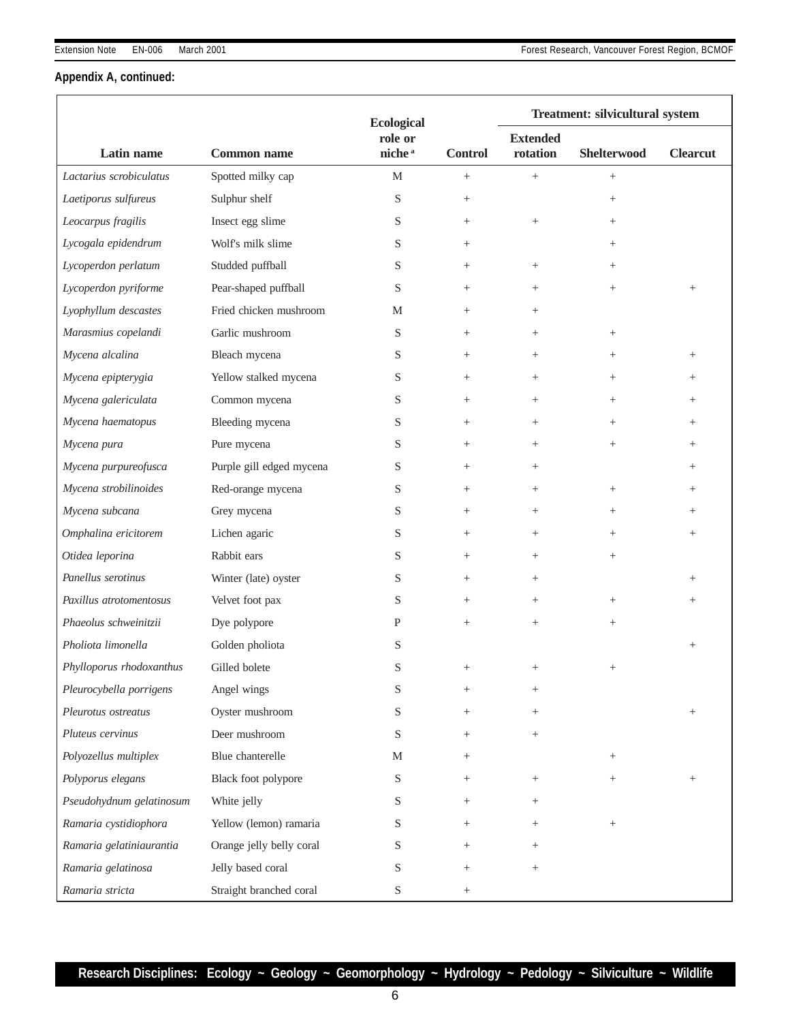# **Appendix A, continued:**

|                          |                          | <b>Ecological</b>  |                 | Treatment: silvicultural system |                    |                 |
|--------------------------|--------------------------|--------------------|-----------------|---------------------------------|--------------------|-----------------|
|                          |                          | role or            |                 | <b>Extended</b>                 |                    |                 |
| Latin name               | <b>Common name</b>       | niche <sup>a</sup> | <b>Control</b>  | rotation                        | <b>Shelterwood</b> | <b>Clearcut</b> |
| Lactarius scrobiculatus  | Spotted milky cap        | M                  | $\! + \!\!\!\!$ | $\! + \!\!\!\!$                 | $\! + \!\!\!\!$    |                 |
| Laetiporus sulfureus     | Sulphur shelf            | S                  | $\! + \!\!\!\!$ |                                 | $^{+}$             |                 |
| Leocarpus fragilis       | Insect egg slime         | S                  | $^{+}$          | $\! + \!\!\!\!$                 | $^{+}$             |                 |
| Lycogala epidendrum      | Wolf's milk slime        | S                  | $^{+}$          |                                 | $^{+}$             |                 |
| Lycoperdon perlatum      | Studded puffball         | S                  | $^{+}$          | $\! + \!\!\!\!$                 | $^{+}$             |                 |
| Lycoperdon pyriforme     | Pear-shaped puffball     | S                  | $\! + \!\!\!\!$ | $\! + \!\!\!\!$                 | $\! + \!\!\!\!$    | $\! + \!\!\!\!$ |
| Lyophyllum descastes     | Fried chicken mushroom   | М                  | $^{+}$          | $^{+}$                          |                    |                 |
| Marasmius copelandi      | Garlic mushroom          | S                  | $^{+}$          | $^{+}$                          | $^{+}$             |                 |
| Mycena alcalina          | Bleach mycena            | S                  | $^{+}$          | $^{+}$                          | $^{+}$             | $^{+}$          |
| Mycena epipterygia       | Yellow stalked mycena    | S                  | $\! + \!\!\!\!$ | $^{+}$                          | $+$                | $^+$            |
| Mycena galericulata      | Common mycena            | S                  | $\! + \!\!\!\!$ | $^{+}$                          | $^{+}$             | $^+$            |
| Mycena haematopus        | Bleeding mycena          | S                  | $^{+}$          | $^{+}$                          | $^{+}$             | $^{+}$          |
| Mycena pura              | Pure mycena              | S                  | $\! + \!\!\!\!$ | $^{+}$                          | $+$                | $^+$            |
| Mycena purpureofusca     | Purple gill edged mycena | S                  | $^{+}$          | $^{+}$                          |                    | $^+$            |
| Mycena strobilinoides    | Red-orange mycena        | S                  | $\! + \!\!\!\!$ | $\! + \!\!\!\!$                 | $^{+}$             | $^+$            |
| Mycena subcana           | Grey mycena              | S                  | $^{+}$          | $^{+}$                          | $^{+}$             | $^{+}$          |
| Omphalina ericitorem     | Lichen agaric            | S                  | $^{+}$          | $^{+}$                          | $^{+}$             | $^{+}$          |
| Otidea leporina          | Rabbit ears              | S                  | $^{+}$          | $^{+}$                          | $^{+}$             |                 |
| Panellus serotinus       | Winter (late) oyster     | S                  | $\! + \!\!\!\!$ | $\! + \!\!\!\!$                 |                    | $^{+}$          |
| Paxillus atrotomentosus  | Velvet foot pax          | S                  | $^{+}$          | $^{+}$                          | $^{+}$             | $\! + \!\!\!\!$ |
| Phaeolus schweinitzii    | Dye polypore             | P                  | $^{+}$          | $^{+}$                          | $^{+}$             |                 |
| Pholiota limonella       | Golden pholiota          | S                  |                 |                                 |                    | $\! + \!\!\!\!$ |
| Phylloporus rhodoxanthus | Gilled bolete            | S                  | $^{+}$          | $^{+}$                          | $^{+}$             |                 |
| Pleurocybella porrigens  | Angel wings              | S                  | $^{+}$          | $\! + \!\!\!\!$                 |                    |                 |
| Pleurotus ostreatus      | Oyster mushroom          | S                  | $^{+}$          | $^{+}$                          |                    | $\! + \!\!\!\!$ |
| Pluteus cervinus         | Deer mushroom            | S                  | $^{+}$          | $^{+}$                          |                    |                 |
| Polyozellus multiplex    | Blue chanterelle         | М                  | $^{+}$          |                                 | $^{+}$             |                 |
| Polyporus elegans        | Black foot polypore      | S                  | $\! + \!\!\!\!$ | $^{+}$                          | $^{+}$             | $\! + \!\!\!\!$ |
| Pseudohydnum gelatinosum | White jelly              | S                  | $^{+}$          | $^{+}$                          |                    |                 |
| Ramaria cystidiophora    | Yellow (lemon) ramaria   | S                  | $^{+}$          | $^{+}$                          | $\! + \!\!\!\!$    |                 |
| Ramaria gelatiniaurantia | Orange jelly belly coral | S                  | $^{+}$          | $^{+}$                          |                    |                 |
| Ramaria gelatinosa       | Jelly based coral        | S                  | $^{+}$          | $\! + \!\!\!\!$                 |                    |                 |
| Ramaria stricta          | Straight branched coral  | S                  | $\! + \!\!\!\!$ |                                 |                    |                 |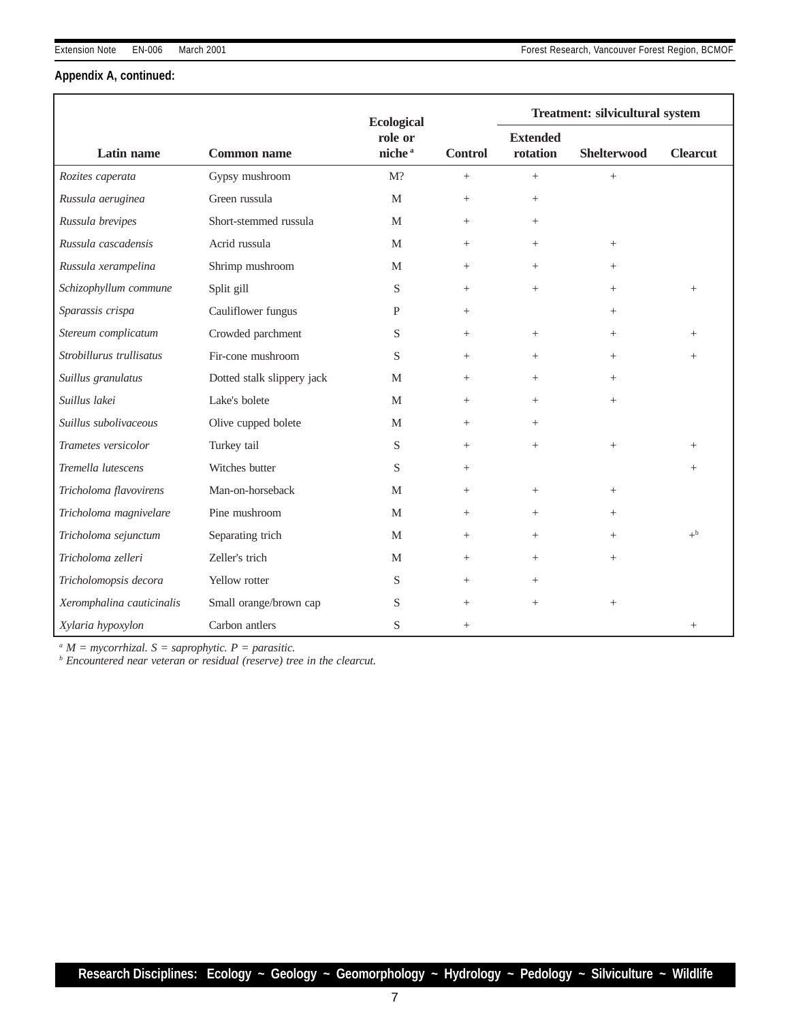# **Appendix A, continued:**

|                           |                            | <b>Ecological</b>             |                 | <b>Treatment: silvicultural system</b> |                    |                 |  |
|---------------------------|----------------------------|-------------------------------|-----------------|----------------------------------------|--------------------|-----------------|--|
| Latin name                | <b>Common name</b>         | role or<br>niche <sup>a</sup> | <b>Control</b>  | <b>Extended</b><br>rotation            | <b>Shelterwood</b> | <b>Clearcut</b> |  |
| Rozites caperata          | Gypsy mushroom             | M?                            | $^{+}$          | $+$                                    | $+$                |                 |  |
| Russula aeruginea         | Green russula              | M                             | $^{+}$          | $^{+}$                                 |                    |                 |  |
| Russula brevipes          | Short-stemmed russula      | M                             | $^{+}$          | $^{+}$                                 |                    |                 |  |
| Russula cascadensis       | Acrid russula              | M                             | $^{+}$          | $^{+}$                                 | $+$                |                 |  |
| Russula xerampelina       | Shrimp mushroom            | M                             | $^{+}$          | $^{+}$                                 | $^{+}$             |                 |  |
| Schizophyllum commune     | Split gill                 | S                             | $^{+}$          | $^{+}$                                 | $+$                | $^{+}$          |  |
| Sparassis crispa          | Cauliflower fungus         | P                             | $^{+}$          |                                        | $^{+}$             |                 |  |
| Stereum complicatum       | Crowded parchment          | S                             | $^{+}$          | $^{+}$                                 | $+$                | $^{+}$          |  |
| Strobillurus trullisatus  | Fir-cone mushroom          | S                             | $^{+}$          | $^{+}$                                 | $+$                | $^{+}$          |  |
| Suillus granulatus        | Dotted stalk slippery jack | M                             | $^{+}$          | $^{+}$                                 | $^{+}$             |                 |  |
| Suillus lakei             | Lake's bolete              | M                             | $^{+}$          | $^{+}$                                 | $+$                |                 |  |
| Suillus subolivaceous     | Olive cupped bolete        | M                             | $^{+}$          | $^{+}$                                 |                    |                 |  |
| Trametes versicolor       | Turkey tail                | S                             | $^{+}$          | $^{+}$                                 | $\! + \!\!\!\!$    | $^{+}$          |  |
| Tremella lutescens        | Witches butter             | S                             | $^{+}$          |                                        |                    | $^{+}$          |  |
| Tricholoma flavovirens    | Man-on-horseback           | M                             | $^{+}$          | $^{+}$                                 | $^{+}$             |                 |  |
| Tricholoma magnivelare    | Pine mushroom              | M                             | $^{+}$          | $^{+}$                                 | $^{+}$             |                 |  |
| Tricholoma sejunctum      | Separating trich           | M                             | $\! + \!\!\!\!$ | $^{+}$                                 | $+$                | $+^{\rm b}$     |  |
| Tricholoma zelleri        | Zeller's trich             | M                             | $^{+}$          | $^{+}$                                 | $+$                |                 |  |
| Tricholomopsis decora     | Yellow rotter              | S                             | $^{+}$          | $^{+}$                                 |                    |                 |  |
| Xeromphalina cauticinalis | Small orange/brown cap     | S                             | $^{+}$          | $+$                                    | $+$                |                 |  |
| Xylaria hypoxylon         | Carbon antlers             | S                             | $^{+}$          |                                        |                    | $^{+}$          |  |

*<sup>a</sup> M = mycorrhizal. S = saprophytic. P = parasitic.*

*<sup>b</sup> Encountered near veteran or residual (reserve) tree in the clearcut.*